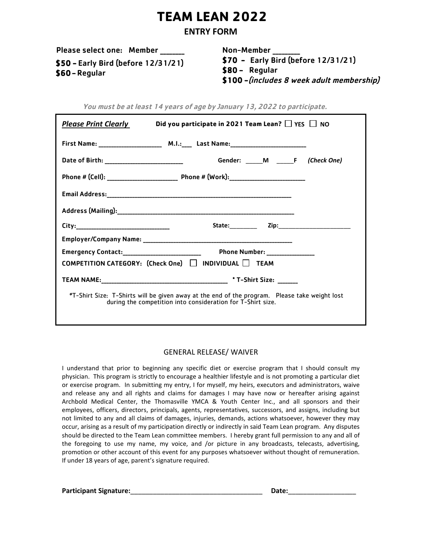# **TEAM LEAN 2022**

## ENTRY FORM

Please select one: Member \_\_\_\_\_\_

Non-Member \_\_\_\_\_\_\_\_\_ \$70 - Early Bird (before 12/31/21)

\$50 - Early Bird (before 12/31/21) \$60 - Regular

\$80 - Regular

\$100 - (includes 8 week adult membership)

| <b>Please Print Clearly</b> | Did you participate in 2021 Team Lean? $\Box$ YES $\Box$ NO                                                                                                  |
|-----------------------------|--------------------------------------------------------------------------------------------------------------------------------------------------------------|
|                             |                                                                                                                                                              |
|                             | Gender: M F (Check One)                                                                                                                                      |
|                             |                                                                                                                                                              |
|                             |                                                                                                                                                              |
|                             |                                                                                                                                                              |
|                             |                                                                                                                                                              |
|                             |                                                                                                                                                              |
|                             | Phone Number: ________________                                                                                                                               |
|                             | $COMPETITION CATEGORY: (Check One)$ NDIVIDUAL TEAM                                                                                                           |
|                             |                                                                                                                                                              |
|                             | *T-Shirt Size: T-Shirts will be given away at the end of the program. Please take weight lost<br>during the competition into consideration for T-Shirt size. |

### You must be at least 14 years of age by January 13, 2022 to participate.

#### GENERAL RELEASE/ WAIVER

I understand that prior to beginning any specific diet or exercise program that I should consult my physician. This program is strictly to encourage a healthier lifestyle and is not promoting a particular diet or exercise program. In submitting my entry, I for myself, my heirs, executors and administrators, waive and release any and all rights and claims for damages I may have now or hereafter arising against Archbold Medical Center, the Thomasville YMCA & Youth Center Inc., and all sponsors and their employees, officers, directors, principals, agents, representatives, successors, and assigns, including but not limited to any and all claims of damages, injuries, demands, actions whatsoever, however they may occur, arising as a result of my participation directly or indirectly in said Team Lean program. Any disputes should be directed to the Team Lean committee members. I hereby grant full permission to any and all of the foregoing to use my name, my voice, and /or picture in any broadcasts, telecasts, advertising, promotion or other account of this event for any purposes whatsoever without thought of remuneration. If under 18 years of age, parent's signature required.

Participant Signature:\_\_\_\_\_\_\_\_\_\_\_\_\_\_\_\_\_\_\_\_\_\_\_\_\_\_\_\_\_\_\_\_\_\_\_ Date:\_\_\_\_\_\_\_\_\_\_\_\_\_\_\_\_\_\_

| <b>Date:</b> |  |  |  |  |
|--------------|--|--|--|--|
|              |  |  |  |  |